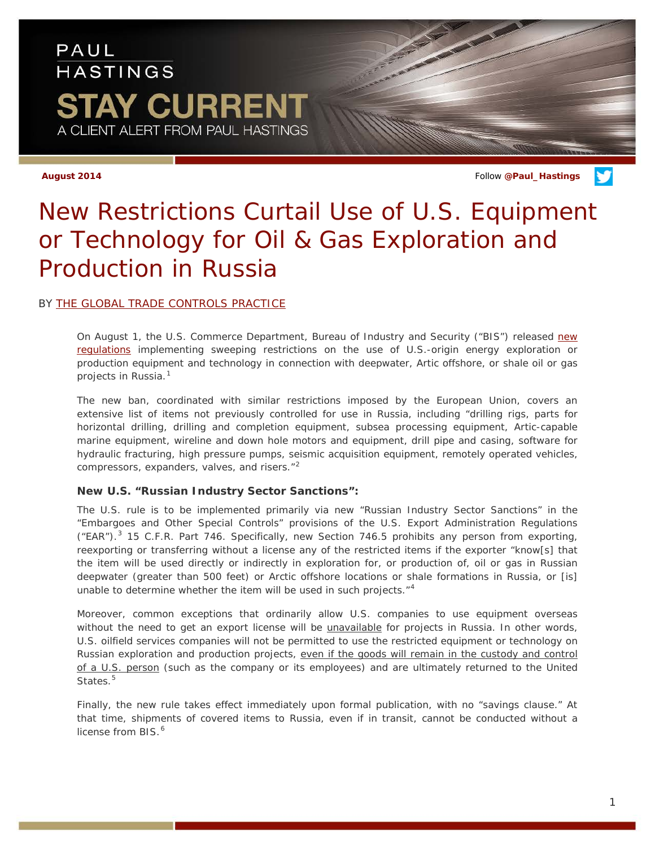## PAUL **HASTINGS STAY CURRENT** A CLIENT ALERT FROM PAUL HASTINGS

**August 2014** Follow **[@Paul\\_Hastings](http://twitter.com/Paul_Hastings)**

# *New Restrictions Curtail Use of U.S. Equipment or Technology for Oil & Gas Exploration and Production in Russia*

### BY [THE GLOBAL TRADE CONTROLS PRACTICE](http://paulhastings.com/area/professionals/?id=20b371d4-1bc9-4047-9331-a267cdec8dc8)

On August 1, the U.S. Commerce Department, Bureau of Industry and Security ("BIS") released [new](http://www.paulhastings.com/docs/default-source/PDFs/bis-rule.pdf)  [regulations](http://www.paulhastings.com/docs/default-source/PDFs/bis-rule.pdf) implementing sweeping restrictions on the use of U.S.-origin energy exploration or production equipment and technology in connection with deepwater, Artic offshore, or shale oil or gas projects in Russia.[1](#page-2-0)

The new ban, coordinated with similar restrictions imposed by the European Union, covers an extensive list of items not previously controlled for use in Russia, including "drilling rigs, parts for horizontal drilling, drilling and completion equipment, subsea processing equipment, Artic-capable marine equipment, wireline and down hole motors and equipment, drill pipe and casing, software for hydraulic fracturing, high pressure pumps, seismic acquisition equipment, remotely operated vehicles, compressors, expanders, valves, and risers."[2](#page-2-1)

### **New U.S. "Russian Industry Sector Sanctions":**

The U.S. rule is to be implemented primarily via new "Russian Industry Sector Sanctions" in the "Embargoes and Other Special Controls" provisions of the U.S. Export Administration Regulations  $("EAR")$ .<sup>[3](#page-2-2)</sup> 15 C.F.R. Part 746. Specifically, new Section 746.5 prohibits any person from exporting, reexporting or transferring without a license any of the restricted items if the exporter "know[s] that the item will be used directly or indirectly in exploration for, or production of, oil or gas in Russian deepwater (greater than 500 feet) or Arctic offshore locations or shale formations in Russia, or [is] unable to determine whether the item will be used in such projects."<sup>[4](#page-2-3)</sup>

Moreover, common exceptions that ordinarily allow U.S. companies to use equipment overseas without the need to get an export license will be *unavailable* for projects in Russia. In other words, U.S. oilfield services companies will not be permitted to use the restricted equipment or technology on Russian exploration and production projects, even if the goods will remain in the custody and control of a U.S. person (such as the company or its employees) and are ultimately returned to the United States.<sup>[5](#page-2-4)</sup>

Finally, the new rule takes effect immediately upon formal publication, with no "savings clause." At that time, shipments of covered items to Russia, even if in transit, cannot be conducted without a license from BIS.<sup>[6](#page-2-5)</sup>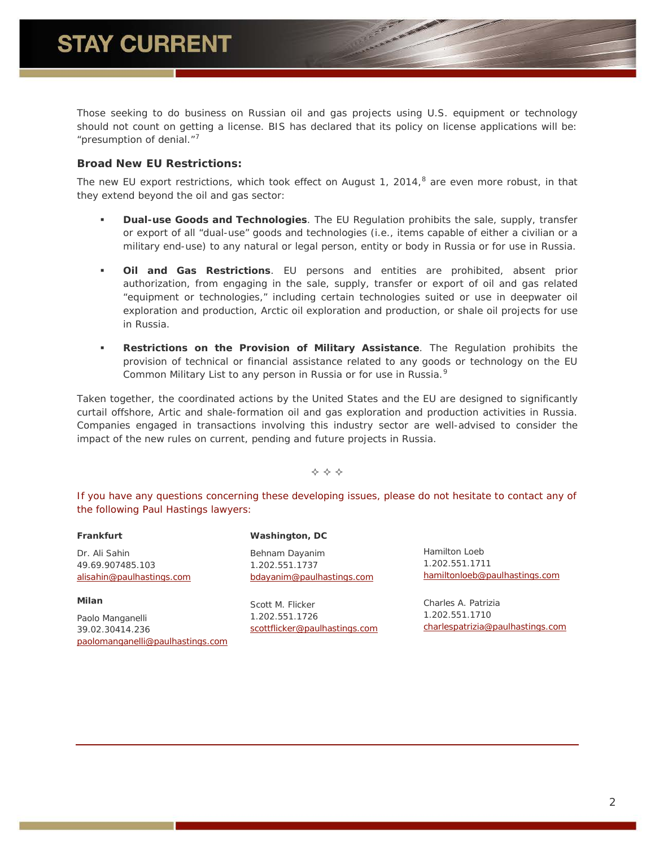Those seeking to do business on Russian oil and gas projects using U.S. equipment or technology should not count on getting a license. BIS has declared that its policy on license applications will be: "presumption of denial."[7](#page-2-6)

### **Broad New EU Restrictions:**

The new EU export restrictions, which took effect on August 1, 2014,<sup>[8](#page-2-7)</sup> are even more robust, in that they extend beyond the oil and gas sector:

- **Dual-use Goods and Technologies**. The EU Regulation prohibits the sale, supply, transfer or export of all "dual-use" goods and technologies (i.e., items capable of either a civilian or a military end-use) to any natural or legal person, entity or body in Russia or for use in Russia.
- **Oil and Gas Restrictions**. EU persons and entities are prohibited, absent prior authorization, from engaging in the sale, supply, transfer or export of oil and gas related "equipment or technologies," including certain technologies suited or use in deepwater oil exploration and production, Arctic oil exploration and production, or shale oil projects for use in Russia.
- **Restrictions on the Provision of Military Assistance**. The Regulation prohibits the provision of technical or financial assistance related to any goods or technology on the EU Common Military List to any person in Russia or for use in Russia.<sup>[9](#page-2-8)</sup>

Taken together, the coordinated actions by the United States and the EU are designed to significantly curtail offshore, Artic and shale-formation oil and gas exploration and production activities in Russia. Companies engaged in transactions involving this industry sector are well-advised to consider the impact of the new rules on current, pending and future projects in Russia.

 $\Leftrightarrow$   $\Leftrightarrow$   $\Leftrightarrow$ 

*If you have any questions concerning these developing issues, please do not hesitate to contact any of the following Paul Hastings lawyers:*

#### **Frankfurt**

Dr. Ali Sahin 49.69.907485.103 [alisahin@paulhastings.com](mailto:alisahin@paulhastings.com)

**Milan** Paolo Manganelli 39.02.30414.236 [paolomanganelli@paulhastings.com](mailto:paolomanganelli@paulhastings.com)

#### **Washington, DC**

Behnam Dayanim 1.202.551.1737 [bdayanim@paulhastings.com](mailto:bdayanim@paulhastings.com)

Scott M. Flicker 1.202.551.1726 [scottflicker@paulhastings.com](mailto:scottflicker@paulhastings.com) Hamilton Loeb 1.202.551.1711 [hamiltonloeb@paulhastings.com](mailto:hamiltonloeb@paulhastings.com)

Charles A. Patrizia 1.202.551.1710 [charlespatrizia@paulhastings.com](mailto:charlespatrizia@paulhastings.com)